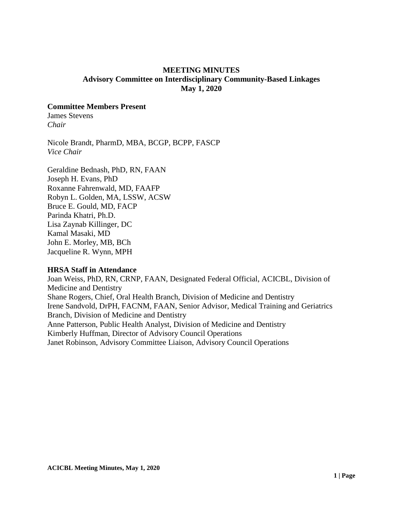## **MEETING MINUTES Advisory Committee on Interdisciplinary Community-Based Linkages May 1, 2020**

#### **Committee Members Present**

James Stevens *Chair* 

Nicole Brandt, PharmD, MBA, BCGP, BCPP, FASCP *Vice Chair*

Geraldine Bednash, PhD, RN, FAAN Joseph H. Evans, PhD Roxanne Fahrenwald, MD, FAAFP Robyn L. Golden, MA, LSSW, ACSW Bruce E. Gould, MD, FACP Parinda Khatri, Ph.D. Lisa Zaynab Killinger, DC Kamal Masaki, MD John E. Morley, MB, BCh Jacqueline R. Wynn, MPH

## **HRSA Staff in Attendance**

Joan Weiss, PhD, RN, CRNP, FAAN, Designated Federal Official, ACICBL, Division of Medicine and Dentistry Shane Rogers, Chief, Oral Health Branch, Division of Medicine and Dentistry Irene Sandvold, DrPH, FACNM, FAAN, Senior Advisor, Medical Training and Geriatrics Branch, Division of Medicine and Dentistry Anne Patterson, Public Health Analyst, Division of Medicine and Dentistry Kimberly Huffman, Director of Advisory Council Operations Janet Robinson, Advisory Committee Liaison, Advisory Council Operations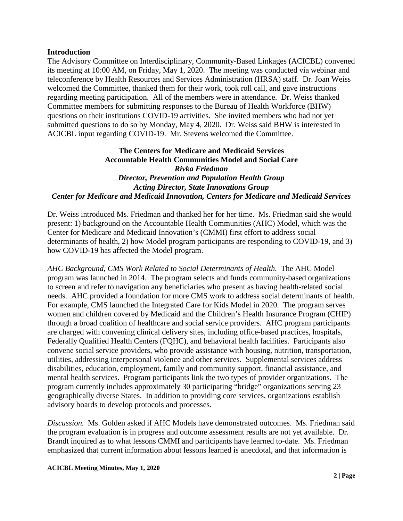#### **Introduction**

The Advisory Committee on Interdisciplinary, Community-Based Linkages (ACICBL) convened its meeting at 10:00 AM, on Friday, May 1, 2020. The meeting was conducted via webinar and teleconference by Health Resources and Services Administration (HRSA) staff. Dr. Joan Weiss welcomed the Committee, thanked them for their work, took roll call, and gave instructions regarding meeting participation. All of the members were in attendance. Dr. Weiss thanked Committee members for submitting responses to the Bureau of Health Workforce (BHW) questions on their institutions COVID-19 activities. She invited members who had not yet submitted questions to do so by Monday, May 4, 2020. Dr. Weiss said BHW is interested in ACICBL input regarding COVID-19. Mr. Stevens welcomed the Committee.

# **The Centers for Medicare and Medicaid Services Accountable Health Communities Model and Social Care**  *Rivka Friedman Director, Prevention and Population Health Group Acting Director, State Innovations Group Center for Medicare and Medicaid Innovation, Centers for Medicare and Medicaid Services*

Dr. Weiss introduced Ms. Friedman and thanked her for her time. Ms. Friedman said she would present: 1) background on the Accountable Health Communities (AHC) Model, which was the Center for Medicare and Medicaid Innovation's (CMMI) first effort to address social determinants of health, 2) how Model program participants are responding to COVID-19, and 3) how COVID-19 has affected the Model program.

*AHC Background, CMS Work Related to Social Determinants of Health.* The AHC Model program was launched in 2014. The program selects and funds community-based organizations to screen and refer to navigation any beneficiaries who present as having health-related social needs. AHC provided a foundation for more CMS work to address social determinants of health. For example, CMS launched the Integrated Care for Kids Model in 2020. The program serves women and children covered by Medicaid and the Children's Health Insurance Program (CHIP) through a broad coalition of healthcare and social service providers. AHC program participants are charged with convening clinical delivery sites, including office-based practices, hospitals, Federally Qualified Health Centers (FQHC), and behavioral health facilities. Participants also convene social service providers, who provide assistance with housing, nutrition, transportation, utilities, addressing interpersonal violence and other services. Supplemental services address disabilities, education, employment, family and community support, financial assistance, and mental health services. Program participants link the two types of provider organizations. The program currently includes approximately 30 participating "bridge" organizations serving 23 geographically diverse States. In addition to providing core services, organizations establish advisory boards to develop protocols and processes.

*Discussion.* Ms. Golden asked if AHC Models have demonstrated outcomes. Ms. Friedman said the program evaluation is in progress and outcome assessment results are not yet available. Dr. Brandt inquired as to what lessons CMMI and participants have learned to-date. Ms. Friedman emphasized that current information about lessons learned is anecdotal, and that information is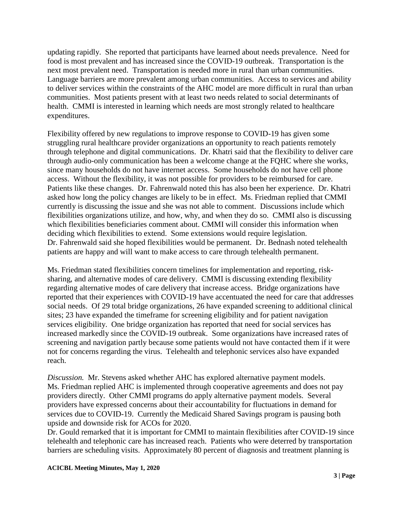updating rapidly. She reported that participants have learned about needs prevalence. Need for food is most prevalent and has increased since the COVID-19 outbreak. Transportation is the next most prevalent need. Transportation is needed more in rural than urban communities. Language barriers are more prevalent among urban communities. Access to services and ability to deliver services within the constraints of the AHC model are more difficult in rural than urban communities. Most patients present with at least two needs related to social determinants of health. CMMI is interested in learning which needs are most strongly related to healthcare expenditures.

Flexibility offered by new regulations to improve response to COVID-19 has given some struggling rural healthcare provider organizations an opportunity to reach patients remotely through telephone and digital communications. Dr. Khatri said that the flexibility to deliver care through audio-only communication has been a welcome change at the FQHC where she works, since many households do not have internet access. Some households do not have cell phone access. Without the flexibility, it was not possible for providers to be reimbursed for care. Patients like these changes. Dr. Fahrenwald noted this has also been her experience. Dr. Khatri asked how long the policy changes are likely to be in effect. Ms. Friedman replied that CMMI currently is discussing the issue and she was not able to comment. Discussions include which flexibilities organizations utilize, and how, why, and when they do so. CMMI also is discussing which flexibilities beneficiaries comment about. CMMI will consider this information when deciding which flexibilities to extend. Some extensions would require legislation. Dr. Fahrenwald said she hoped flexibilities would be permanent. Dr. Bednash noted telehealth patients are happy and will want to make access to care through telehealth permanent.

Ms. Friedman stated flexibilities concern timelines for implementation and reporting, risksharing, and alternative modes of care delivery. CMMI is discussing extending flexibility regarding alternative modes of care delivery that increase access. Bridge organizations have reported that their experiences with COVID-19 have accentuated the need for care that addresses social needs. Of 29 total bridge organizations, 26 have expanded screening to additional clinical sites; 23 have expanded the timeframe for screening eligibility and for patient navigation services eligibility. One bridge organization has reported that need for social services has increased markedly since the COVID-19 outbreak. Some organizations have increased rates of screening and navigation partly because some patients would not have contacted them if it were not for concerns regarding the virus. Telehealth and telephonic services also have expanded reach.

*Discussion.* Mr. Stevens asked whether AHC has explored alternative payment models. Ms. Friedman replied AHC is implemented through cooperative agreements and does not pay providers directly. Other CMMI programs do apply alternative payment models. Several providers have expressed concerns about their accountability for fluctuations in demand for services due to COVID-19. Currently the Medicaid Shared Savings program is pausing both upside and downside risk for ACOs for 2020.

Dr. Gould remarked that it is important for CMMI to maintain flexibilities after COVID-19 since telehealth and telephonic care has increased reach. Patients who were deterred by transportation barriers are scheduling visits. Approximately 80 percent of diagnosis and treatment planning is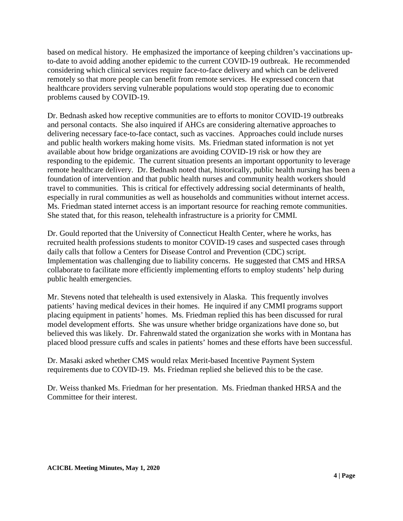based on medical history. He emphasized the importance of keeping children's vaccinations upto-date to avoid adding another epidemic to the current COVID-19 outbreak. He recommended considering which clinical services require face-to-face delivery and which can be delivered remotely so that more people can benefit from remote services. He expressed concern that healthcare providers serving vulnerable populations would stop operating due to economic problems caused by COVID-19.

Dr. Bednash asked how receptive communities are to efforts to monitor COVID-19 outbreaks and personal contacts. She also inquired if AHCs are considering alternative approaches to delivering necessary face-to-face contact, such as vaccines. Approaches could include nurses and public health workers making home visits. Ms. Friedman stated information is not yet available about how bridge organizations are avoiding COVID-19 risk or how they are responding to the epidemic. The current situation presents an important opportunity to leverage remote healthcare delivery. Dr. Bednash noted that, historically, public health nursing has been a foundation of intervention and that public health nurses and community health workers should travel to communities. This is critical for effectively addressing social determinants of health, especially in rural communities as well as households and communities without internet access. Ms. Friedman stated internet access is an important resource for reaching remote communities. She stated that, for this reason, telehealth infrastructure is a priority for CMMI.

Dr. Gould reported that the University of Connecticut Health Center, where he works, has recruited health professions students to monitor COVID-19 cases and suspected cases through daily calls that follow a Centers for Disease Control and Prevention (CDC) script. Implementation was challenging due to liability concerns. He suggested that CMS and HRSA collaborate to facilitate more efficiently implementing efforts to employ students' help during public health emergencies.

Mr. Stevens noted that telehealth is used extensively in Alaska. This frequently involves patients' having medical devices in their homes. He inquired if any CMMI programs support placing equipment in patients' homes. Ms. Friedman replied this has been discussed for rural model development efforts. She was unsure whether bridge organizations have done so, but believed this was likely. Dr. Fahrenwald stated the organization she works with in Montana has placed blood pressure cuffs and scales in patients' homes and these efforts have been successful.

Dr. Masaki asked whether CMS would relax Merit-based Incentive Payment System requirements due to COVID-19. Ms. Friedman replied she believed this to be the case.

Dr. Weiss thanked Ms. Friedman for her presentation. Ms. Friedman thanked HRSA and the Committee for their interest.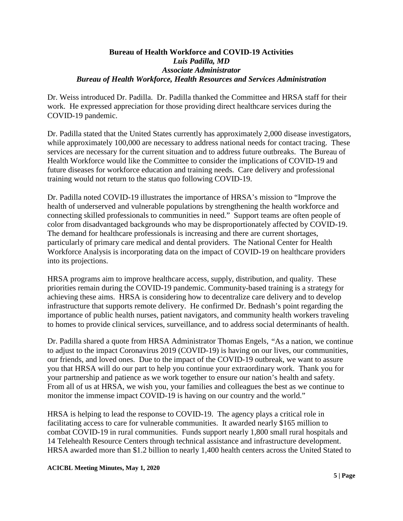## **Bureau of Health Workforce and COVID-19 Activities**  *Luis Padilla, MD Associate Administrator Bureau of Health Workforce, Health Resources and Services Administration*

Dr. Weiss introduced Dr. Padilla. Dr. Padilla thanked the Committee and HRSA staff for their work. He expressed appreciation for those providing direct healthcare services during the COVID-19 pandemic.

Dr. Padilla stated that the United States currently has approximately 2,000 disease investigators, while approximately 100,000 are necessary to address national needs for contact tracing. These services are necessary for the current situation and to address future outbreaks. The Bureau of Health Workforce would like the Committee to consider the implications of COVID-19 and future diseases for workforce education and training needs. Care delivery and professional training would not return to the status quo following COVID-19.

Dr. Padilla noted COVID-19 illustrates the importance of HRSA's mission to "Improve the health of underserved and vulnerable populations by strengthening the health workforce and connecting skilled professionals to communities in need." Support teams are often people of color from disadvantaged backgrounds who may be disproportionately affected by COVID-19. The demand for healthcare professionals is increasing and there are current shortages, particularly of primary care medical and dental providers. The National Center for Health Workforce Analysis is incorporating data on the impact of COVID-19 on healthcare providers into its projections.

HRSA programs aim to improve healthcare access, supply, distribution, and quality. These priorities remain during the COVID-19 pandemic. Community-based training is a strategy for achieving these aims. HRSA is considering how to decentralize care delivery and to develop infrastructure that supports remote delivery. He confirmed Dr. Bednash's point regarding the importance of public health nurses, patient navigators, and community health workers traveling to homes to provide clinical services, surveillance, and to address social determinants of health.

Dr. Padilla shared a quote from HRSA Administrator Thomas Engels, "As a nation, we continue to adjust to the impact Coronavirus 2019 (COVID-19) is having on our lives, our communities, our friends, and loved ones. Due to the impact of the COVID-19 outbreak, we want to assure you that HRSA will do our part to help you continue your extraordinary work. Thank you for your partnership and patience as we work together to ensure our nation's health and safety. From all of us at HRSA, we wish you, your families and colleagues the best as we continue to monitor the immense impact COVID-19 is having on our country and the world."

HRSA is helping to lead the response to COVID-19. The agency plays a critical role in facilitating access to care for vulnerable communities. It awarded nearly \$165 million to combat COVID-19 in rural communities. Funds support nearly 1,800 small rural hospitals and 14 Telehealth Resource Centers through technical assistance and infrastructure development. HRSA awarded more than \$1.2 billion to nearly 1,400 health centers across the United Stated to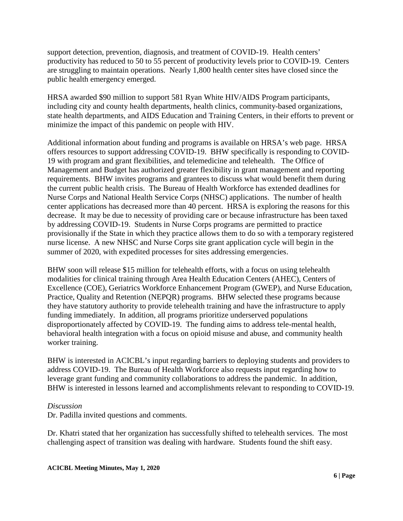support detection, prevention, diagnosis, and treatment of COVID-19. Health centers' productivity has reduced to 50 to 55 percent of productivity levels prior to COVID-19. Centers are struggling to maintain operations. Nearly 1,800 health center sites have closed since the public health emergency emerged.

HRSA awarded \$90 million to support 581 Ryan White HIV/AIDS Program participants, including city and county health departments, health clinics, community-based organizations, state health departments, and AIDS Education and Training Centers, in their efforts to prevent or minimize the impact of this pandemic on people with HIV.

Additional information about funding and programs is available on HRSA's web page. HRSA offers resources to support addressing COVID-19. BHW specifically is responding to COVID-19 with program and grant flexibilities, and telemedicine and telehealth. The Office of Management and Budget has authorized greater flexibility in grant management and reporting requirements. BHW invites programs and grantees to discuss what would benefit them during the current public health crisis. The Bureau of Health Workforce has extended deadlines for Nurse Corps and National Health Service Corps (NHSC) applications. The number of health center applications has decreased more than 40 percent. HRSA is exploring the reasons for this decrease. It may be due to necessity of providing care or because infrastructure has been taxed by addressing COVID-19. Students in Nurse Corps programs are permitted to practice provisionally if the State in which they practice allows them to do so with a temporary registered nurse license. A new NHSC and Nurse Corps site grant application cycle will begin in the summer of 2020, with expedited processes for sites addressing emergencies.

BHW soon will release \$15 million for telehealth efforts, with a focus on using telehealth modalities for clinical training through Area Health Education Centers (AHEC), Centers of Excellence (COE), Geriatrics Workforce Enhancement Program (GWEP), and Nurse Education, Practice, Quality and Retention (NEPQR) programs. BHW selected these programs because they have statutory authority to provide telehealth training and have the infrastructure to apply funding immediately. In addition, all programs prioritize underserved populations disproportionately affected by COVID-19. The funding aims to address tele-mental health, behavioral health integration with a focus on opioid misuse and abuse, and community health worker training.

BHW is interested in ACICBL's input regarding barriers to deploying students and providers to address COVID-19. The Bureau of Health Workforce also requests input regarding how to leverage grant funding and community collaborations to address the pandemic. In addition, BHW is interested in lessons learned and accomplishments relevant to responding to COVID-19.

#### *Discussion*

Dr. Padilla invited questions and comments.

Dr. Khatri stated that her organization has successfully shifted to telehealth services. The most challenging aspect of transition was dealing with hardware. Students found the shift easy.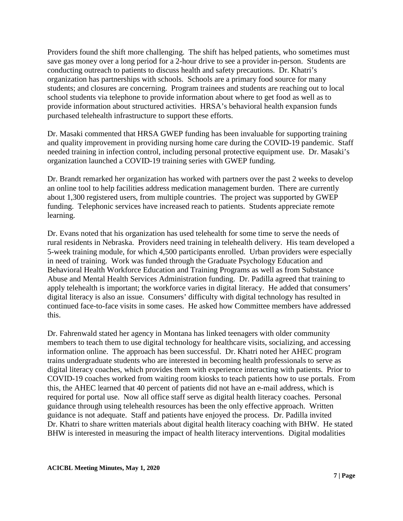Providers found the shift more challenging. The shift has helped patients, who sometimes must save gas money over a long period for a 2-hour drive to see a provider in-person. Students are conducting outreach to patients to discuss health and safety precautions. Dr. Khatri's organization has partnerships with schools. Schools are a primary food source for many students; and closures are concerning. Program trainees and students are reaching out to local school students via telephone to provide information about where to get food as well as to provide information about structured activities. HRSA's behavioral health expansion funds purchased telehealth infrastructure to support these efforts.

Dr. Masaki commented that HRSA GWEP funding has been invaluable for supporting training and quality improvement in providing nursing home care during the COVID-19 pandemic. Staff needed training in infection control, including personal protective equipment use. Dr. Masaki's organization launched a COVID-19 training series with GWEP funding.

Dr. Brandt remarked her organization has worked with partners over the past 2 weeks to develop an online tool to help facilities address medication management burden. There are currently about 1,300 registered users, from multiple countries. The project was supported by GWEP funding. Telephonic services have increased reach to patients. Students appreciate remote learning.

Dr. Evans noted that his organization has used telehealth for some time to serve the needs of rural residents in Nebraska. Providers need training in telehealth delivery. His team developed a 5-week training module, for which 4,500 participants enrolled. Urban providers were especially in need of training. Work was funded through the Graduate Psychology Education and Behavioral Health Workforce Education and Training Programs as well as from Substance Abuse and Mental Health Services Administration funding. Dr. Padilla agreed that training to apply telehealth is important; the workforce varies in digital literacy. He added that consumers' digital literacy is also an issue. Consumers' difficulty with digital technology has resulted in continued face-to-face visits in some cases. He asked how Committee members have addressed this.

Dr. Fahrenwald stated her agency in Montana has linked teenagers with older community members to teach them to use digital technology for healthcare visits, socializing, and accessing information online. The approach has been successful. Dr. Khatri noted her AHEC program trains undergraduate students who are interested in becoming health professionals to serve as digital literacy coaches, which provides them with experience interacting with patients. Prior to COVID-19 coaches worked from waiting room kiosks to teach patients how to use portals. From this, the AHEC learned that 40 percent of patients did not have an e-mail address, which is required for portal use. Now all office staff serve as digital health literacy coaches. Personal guidance through using telehealth resources has been the only effective approach. Written guidance is not adequate. Staff and patients have enjoyed the process. Dr. Padilla invited Dr. Khatri to share written materials about digital health literacy coaching with BHW. He stated BHW is interested in measuring the impact of health literacy interventions. Digital modalities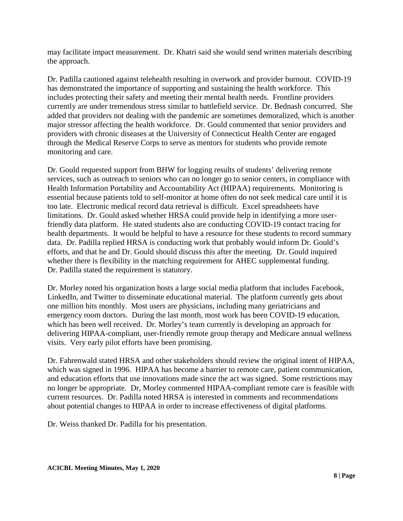may facilitate impact measurement. Dr. Khatri said she would send written materials describing the approach.

Dr. Padilla cautioned against telehealth resulting in overwork and provider burnout. COVID-19 has demonstrated the importance of supporting and sustaining the health workforce. This includes protecting their safety and meeting their mental health needs. Frontline providers currently are under tremendous stress similar to battlefield service. Dr. Bednash concurred. She added that providers not dealing with the pandemic are sometimes demoralized, which is another major stressor affecting the health workforce. Dr. Gould commented that senior providers and providers with chronic diseases at the University of Connecticut Health Center are engaged through the Medical Reserve Corps to serve as mentors for students who provide remote monitoring and care.

Dr. Gould requested support from BHW for logging results of students' delivering remote services, such as outreach to seniors who can no longer go to senior centers, in compliance with Health Information Portability and Accountability Act (HIPAA) requirements. Monitoring is essential because patients told to self-monitor at home often do not seek medical care until it is too late. Electronic medical record data retrieval is difficult. Excel spreadsheets have limitations. Dr. Gould asked whether HRSA could provide help in identifying a more userfriendly data platform. He stated students also are conducting COVID-19 contact tracing for health departments. It would be helpful to have a resource for these students to record summary data. Dr. Padilla replied HRSA is conducting work that probably would inform Dr. Gould's efforts, and that he and Dr. Gould should discuss this after the meeting. Dr. Gould inquired whether there is flexibility in the matching requirement for AHEC supplemental funding. Dr. Padilla stated the requirement is statutory.

Dr. Morley noted his organization hosts a large social media platform that includes Facebook, LinkedIn, and Twitter to disseminate educational material. The platform currently gets about one million hits monthly. Most users are physicians, including many geriatricians and emergency room doctors. During the last month, most work has been COVID-19 education, which has been well received. Dr. Morley's team currently is developing an approach for delivering HIPAA-compliant, user-friendly remote group therapy and Medicare annual wellness visits. Very early pilot efforts have been promising.

Dr. Fahrenwald stated HRSA and other stakeholders should review the original intent of HIPAA, which was signed in 1996. HIPAA has become a barrier to remote care, patient communication, and education efforts that use innovations made since the act was signed. Some restrictions may no longer be appropriate. Dr, Morley commented HIPAA-compliant remote care is feasible with current resources. Dr. Padilla noted HRSA is interested in comments and recommendations about potential changes to HIPAA in order to increase effectiveness of digital platforms.

Dr. Weiss thanked Dr. Padilla for his presentation.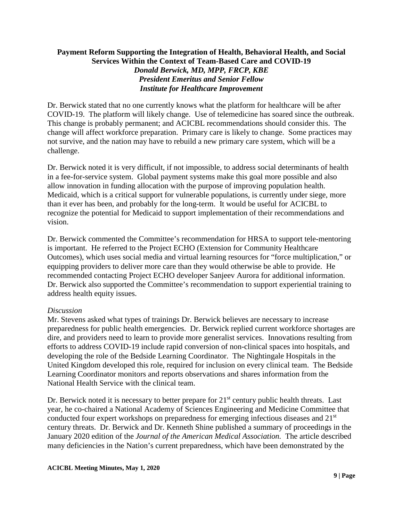## **Payment Reform Supporting the Integration of Health, Behavioral Health, and Social Services Within the Context of Team-Based Care and COVID-19**  *Donald Berwick, MD, MPP, FRCP, KBE President Emeritus and Senior Fellow Institute for Healthcare Improvement*

Dr. Berwick stated that no one currently knows what the platform for healthcare will be after COVID-19. The platform will likely change. Use of telemedicine has soared since the outbreak. This change is probably permanent; and ACICBL recommendations should consider this. The change will affect workforce preparation. Primary care is likely to change. Some practices may not survive, and the nation may have to rebuild a new primary care system, which will be a challenge.

Dr. Berwick noted it is very difficult, if not impossible, to address social determinants of health in a fee-for-service system. Global payment systems make this goal more possible and also allow innovation in funding allocation with the purpose of improving population health. Medicaid, which is a critical support for vulnerable populations, is currently under siege, more than it ever has been, and probably for the long-term. It would be useful for ACICBL to recognize the potential for Medicaid to support implementation of their recommendations and vision.

Dr. Berwick commented the Committee's recommendation for HRSA to support tele-mentoring is important. He referred to the Project ECHO (Extension for Community Healthcare Outcomes), which uses social media and virtual learning resources for "force multiplication," or equipping providers to deliver more care than they would otherwise be able to provide. He recommended contacting Project ECHO developer Sanjeev Aurora for additional information. Dr. Berwick also supported the Committee's recommendation to support experiential training to address health equity issues.

## *Discussion*

Mr. Stevens asked what types of trainings Dr. Berwick believes are necessary to increase preparedness for public health emergencies. Dr. Berwick replied current workforce shortages are dire, and providers need to learn to provide more generalist services. Innovations resulting from efforts to address COVID-19 include rapid conversion of non-clinical spaces into hospitals, and developing the role of the Bedside Learning Coordinator. The Nightingale Hospitals in the United Kingdom developed this role, required for inclusion on every clinical team. The Bedside Learning Coordinator monitors and reports observations and shares information from the National Health Service with the clinical team.

Dr. Berwick noted it is necessary to better prepare for  $21<sup>st</sup>$  century public health threats. Last year, he co-chaired a National Academy of Sciences Engineering and Medicine Committee that conducted four expert workshops on preparedness for emerging infectious diseases and 21<sup>st</sup> century threats. Dr. Berwick and Dr. Kenneth Shine published a summary of proceedings in the January 2020 edition of the *Journal of the American Medical Association.* The article described many deficiencies in the Nation's current preparedness, which have been demonstrated by the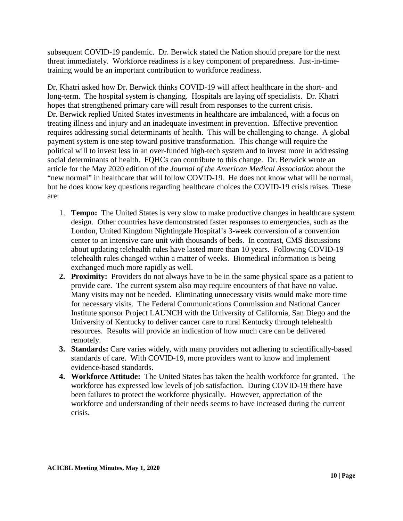subsequent COVID-19 pandemic. Dr. Berwick stated the Nation should prepare for the next threat immediately. Workforce readiness is a key component of preparedness. Just-in-timetraining would be an important contribution to workforce readiness.

Dr. Khatri asked how Dr. Berwick thinks COVID-19 will affect healthcare in the short- and long-term. The hospital system is changing. Hospitals are laying off specialists. Dr. Khatri hopes that strengthened primary care will result from responses to the current crisis. Dr. Berwick replied United States investments in healthcare are imbalanced, with a focus on treating illness and injury and an inadequate investment in prevention. Effective prevention requires addressing social determinants of health. This will be challenging to change. A global payment system is one step toward positive transformation. This change will require the political will to invest less in an over-funded high-tech system and to invest more in addressing social determinants of health. FQHCs can contribute to this change. Dr. Berwick wrote an article for the May 2020 edition of the *Journal of the American Medical Association* about the "new normal" in healthcare that will follow COVID-19*.* He does not know what will be normal, but he does know key questions regarding healthcare choices the COVID-19 crisis raises. These are:

- 1. **Tempo:** The United States is very slow to make productive changes in healthcare system design. Other countries have demonstrated faster responses to emergencies, such as the London, United Kingdom Nightingale Hospital's 3-week conversion of a convention center to an intensive care unit with thousands of beds. In contrast, CMS discussions about updating telehealth rules have lasted more than 10 years. Following COVID-19 telehealth rules changed within a matter of weeks. Biomedical information is being exchanged much more rapidly as well.
- **2. Proximity:** Providers do not always have to be in the same physical space as a patient to provide care. The current system also may require encounters of that have no value. Many visits may not be needed. Eliminating unnecessary visits would make more time for necessary visits. The Federal Communications Commission and National Cancer Institute sponsor Project LAUNCH with the University of California, San Diego and the University of Kentucky to deliver cancer care to rural Kentucky through telehealth resources. Results will provide an indication of how much care can be delivered remotely.
- **3. Standards:** Care varies widely, with many providers not adhering to scientifically-based standards of care. With COVID-19, more providers want to know and implement evidence-based standards.
- **4. Workforce Attitude:** The United States has taken the health workforce for granted. The workforce has expressed low levels of job satisfaction. During COVID-19 there have been failures to protect the workforce physically. However, appreciation of the workforce and understanding of their needs seems to have increased during the current crisis.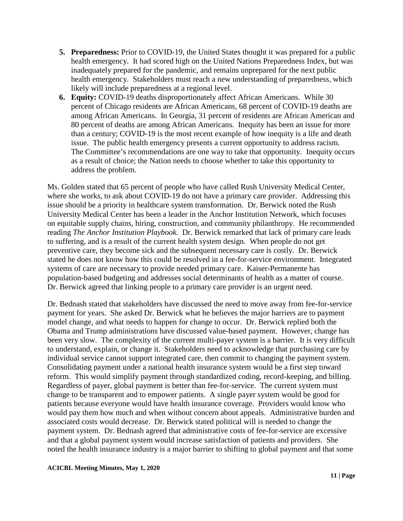- **5. Preparedness:** Prior to COVID-19, the United States thought it was prepared for a public health emergency. It had scored high on the United Nations Preparedness Index, but was inadequately prepared for the pandemic, and remains unprepared for the next public health emergency. Stakeholders must reach a new understanding of preparedness, which likely will include preparedness at a regional level.
- **6. Equity:** COVID-19 deaths disproportionately affect African Americans. While 30 percent of Chicago residents are African Americans, 68 percent of COVID-19 deaths are among African Americans. In Georgia, 31 percent of residents are African American and 80 percent of deaths are among African Americans. Inequity has been an issue for more than a century; COVID-19 is the most recent example of how inequity is a life and death issue. The public health emergency presents a current opportunity to address racism. The Committee's recommendations are one way to take that opportunity. Inequity occurs as a result of choice; the Nation needs to choose whether to take this opportunity to address the problem.

Ms. Golden stated that 65 percent of people who have called Rush University Medical Center, where she works, to ask about COVID-19 do not have a primary care provider. Addressing this issue should be a priority in healthcare system transformation. Dr. Berwick noted the Rush University Medical Center has been a leader in the Anchor Institution Network, which focuses on equitable supply chains, hiring, construction, and community philanthropy. He recommended reading *The Anchor Institution Playbook.* Dr. Berwick remarked that lack of primary care leads to suffering, and is a result of the current health system design. When people do not get preventive care, they become sick and the subsequent necessary care is costly. Dr. Berwick stated he does not know how this could be resolved in a fee-for-service environment. Integrated systems of care are necessary to provide needed primary care. Kaiser-Permanente has population-based budgeting and addresses social determinants of health as a matter of course. Dr. Berwick agreed that linking people to a primary care provider is an urgent need.

Dr. Bednash stated that stakeholders have discussed the need to move away from fee-for-service payment for years. She asked Dr. Berwick what he believes the major barriers are to payment model change, and what needs to happen for change to occur. Dr. Berwick replied both the Obama and Trump administrations have discussed value-based payment. However, change has been very slow. The complexity of the current multi-payer system is a barrier. It is very difficult to understand, explain, or change it. Stakeholders need to acknowledge that purchasing care by individual service cannot support integrated care, then commit to changing the payment system. Consolidating payment under a national health insurance system would be a first step toward reform. This would simplify payment through standardized coding, record-keeping, and billing. Regardless of payer, global payment is better than fee-for-service. The current system must change to be transparent and to empower patients. A single payer system would be good for patients because everyone would have health insurance coverage. Providers would know who would pay them how much and when without concern about appeals. Administrative burden and associated costs would decrease. Dr. Berwick stated political will is needed to change the payment system. Dr. Bednash agreed that administrative costs of fee-for-service are excessive and that a global payment system would increase satisfaction of patients and providers. She noted the health insurance industry is a major barrier to shifting to global payment and that some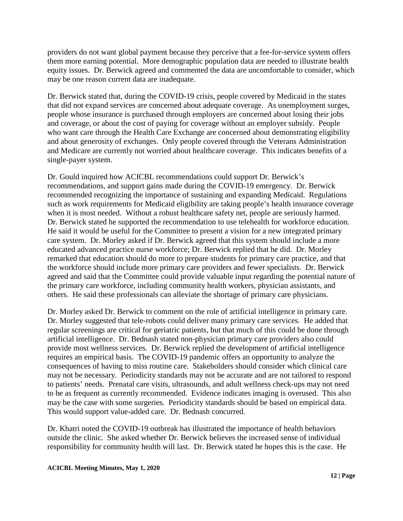providers do not want global payment because they perceive that a fee-for-service system offers them more earning potential. More demographic population data are needed to illustrate health equity issues. Dr. Berwick agreed and commented the data are uncomfortable to consider, which may be one reason current data are inadequate.

Dr. Berwick stated that, during the COVID-19 crisis, people covered by Medicaid in the states that did not expand services are concerned about adequate coverage. As unemployment surges, people whose insurance is purchased through employers are concerned about losing their jobs and coverage, or about the cost of paying for coverage without an employer subsidy. People who want care through the Health Care Exchange are concerned about demonstrating eligibility and about generosity of exchanges. Only people covered through the Veterans Administration and Medicare are currently not worried about healthcare coverage. This indicates benefits of a single-payer system.

Dr. Gould inquired how ACICBL recommendations could support Dr. Berwick's recommendations, and support gains made during the COVID-19 emergency. Dr. Berwick recommended recognizing the importance of sustaining and expanding Medicaid. Regulations such as work requirements for Medicaid eligibility are taking people's health insurance coverage when it is most needed. Without a robust healthcare safety net, people are seriously harmed. Dr. Berwick stated he supported the recommendation to use telehealth for workforce education. He said it would be useful for the Committee to present a vision for a new integrated primary care system. Dr. Morley asked if Dr. Berwick agreed that this system should include a more educated advanced practice nurse workforce; Dr. Berwick replied that he did. Dr. Morley remarked that education should do more to prepare students for primary care practice, and that the workforce should include more primary care providers and fewer specialists. Dr. Berwick agreed and said that the Committee could provide valuable input regarding the potential nature of the primary care workforce, including community health workers, physician assistants, and others. He said these professionals can alleviate the shortage of primary care physicians.

Dr. Morley asked Dr. Berwick to comment on the role of artificial intelligence in primary care. Dr. Morley suggested that tele-robots could deliver many primary care services. He added that regular screenings are critical for geriatric patients, but that much of this could be done through artificial intelligence. Dr. Bednash stated non-physician primary care providers also could provide most wellness services. Dr. Berwick replied the development of artificial intelligence requires an empirical basis. The COVID-19 pandemic offers an opportunity to analyze the consequences of having to miss routine care. Stakeholders should consider which clinical care may not be necessary. Periodicity standards may not be accurate and are not tailored to respond to patients' needs. Prenatal care visits, ultrasounds, and adult wellness check-ups may not need to be as frequent as currently recommended. Evidence indicates imaging is overused. This also may be the case with some surgeries. Periodicity standards should be based on empirical data. This would support value-added care. Dr. Bednash concurred.

Dr. Khatri noted the COVID-19 outbreak has illustrated the importance of health behaviors outside the clinic. She asked whether Dr. Berwick believes the increased sense of individual responsibility for community health will last. Dr. Berwick stated he hopes this is the case. He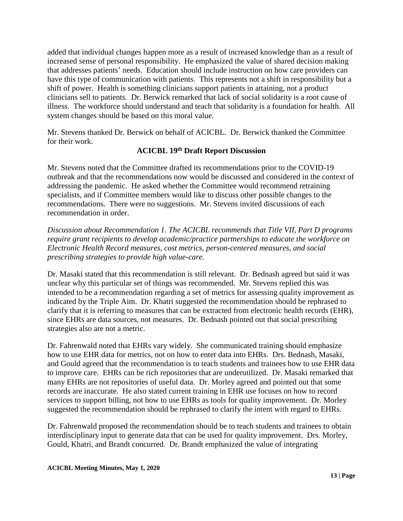added that individual changes happen more as a result of increased knowledge than as a result of increased sense of personal responsibility. He emphasized the value of shared decision making that addresses patients' needs. Education should include instruction on how care providers can have this type of communication with patients. This represents not a shift in responsibility but a shift of power. Health is something clinicians support patients in attaining, not a product clinicians sell to patients. Dr. Berwick remarked that lack of social solidarity is a root cause of illness. The workforce should understand and teach that solidarity is a foundation for health. All system changes should be based on this moral value.

Mr. Stevens thanked Dr. Berwick on behalf of ACICBL. Dr. Berwick thanked the Committee for their work.

## **ACICBL 19th Draft Report Discussion**

Mr. Stevens noted that the Committee drafted its recommendations prior to the COVID-19 outbreak and that the recommendations now would be discussed and considered in the context of addressing the pandemic. He asked whether the Committee would recommend retraining specialists, and if Committee members would like to discuss other possible changes to the recommendations. There were no suggestions. Mr. Stevens invited discussions of each recommendation in order.

*Discussion about Recommendation 1. The ACICBL recommends that Title VII, Part D programs require grant recipients to develop academic/practice partnerships to educate the workforce on Electronic Health Record measures, cost metrics, person-centered measures, and social prescribing strategies to provide high value-care.* 

Dr. Masaki stated that this recommendation is still relevant. Dr. Bednash agreed but said it was unclear why this particular set of things was recommended. Mr. Stevens replied this was intended to be a recommendation regarding a set of metrics for assessing quality improvement as indicated by the Triple Aim. Dr. Khatri suggested the recommendation should be rephrased to clarify that it is referring to measures that can be extracted from electronic health records (EHR), since EHRs are data sources, not measures. Dr. Bednash pointed out that social prescribing strategies also are not a metric.

Dr. Fahrenwald noted that EHRs vary widely. She communicated training should emphasize how to use EHR data for metrics, not on how to enter data into EHRs. Drs. Bednash, Masaki, and Gould agreed that the recommendation is to teach students and trainees how to use EHR data to improve care. EHRs can be rich repositories that are underutilized. Dr. Masaki remarked that many EHRs are not repositories of useful data. Dr. Morley agreed and pointed out that some records are inaccurate. He also stated current training in EHR use focuses on how to record services to support billing, not how to use EHRs as tools for quality improvement. Dr. Morley suggested the recommendation should be rephrased to clarify the intent with regard to EHRs.

Dr. Fahrenwald proposed the recommendation should be to teach students and trainees to obtain interdisciplinary input to generate data that can be used for quality improvement. Drs. Morley, Gould, Khatri, and Brandt concurred. Dr. Brandt emphasized the value of integrating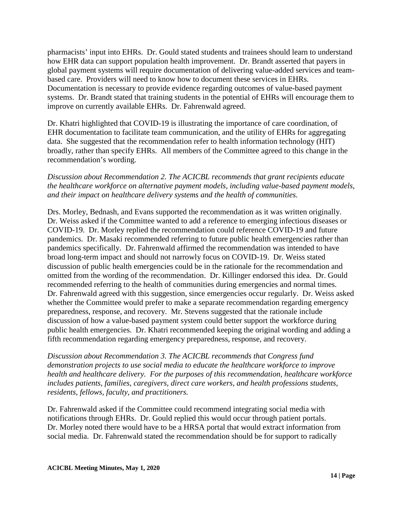pharmacists' input into EHRs. Dr. Gould stated students and trainees should learn to understand how EHR data can support population health improvement. Dr. Brandt asserted that payers in global payment systems will require documentation of delivering value-added services and teambased care. Providers will need to know how to document these services in EHRs. Documentation is necessary to provide evidence regarding outcomes of value-based payment systems. Dr. Brandt stated that training students in the potential of EHRs will encourage them to improve on currently available EHRs. Dr. Fahrenwald agreed.

Dr. Khatri highlighted that COVID-19 is illustrating the importance of care coordination, of EHR documentation to facilitate team communication, and the utility of EHRs for aggregating data. She suggested that the recommendation refer to health information technology (HIT) broadly, rather than specify EHRs. All members of the Committee agreed to this change in the recommendation's wording.

*Discussion about Recommendation 2. The ACICBL recommends that grant recipients educate the healthcare workforce on alternative payment models, including value-based payment models, and their impact on healthcare delivery systems and the health of communities.* 

Drs. Morley, Bednash, and Evans supported the recommendation as it was written originally. Dr. Weiss asked if the Committee wanted to add a reference to emerging infectious diseases or COVID-19. Dr. Morley replied the recommendation could reference COVID-19 and future pandemics. Dr. Masaki recommended referring to future public health emergencies rather than pandemics specifically. Dr. Fahrenwald affirmed the recommendation was intended to have broad long-term impact and should not narrowly focus on COVID-19. Dr. Weiss stated discussion of public health emergencies could be in the rationale for the recommendation and omitted from the wording of the recommendation. Dr. Killinger endorsed this idea. Dr. Gould recommended referring to the health of communities during emergencies and normal times. Dr. Fahrenwald agreed with this suggestion, since emergencies occur regularly. Dr. Weiss asked whether the Committee would prefer to make a separate recommendation regarding emergency preparedness, response, and recovery. Mr. Stevens suggested that the rationale include discussion of how a value-based payment system could better support the workforce during public health emergencies. Dr. Khatri recommended keeping the original wording and adding a fifth recommendation regarding emergency preparedness, response, and recovery.

*Discussion about Recommendation 3. The ACICBL recommends that Congress fund demonstration projects to use social media to educate the healthcare workforce to improve health and healthcare delivery. For the purposes of this recommendation, healthcare workforce includes patients, families, caregivers, direct care workers, and health professions students, residents, fellows, faculty, and practitioners.* 

Dr. Fahrenwald asked if the Committee could recommend integrating social media with notifications through EHRs. Dr. Gould replied this would occur through patient portals. Dr. Morley noted there would have to be a HRSA portal that would extract information from social media. Dr. Fahrenwald stated the recommendation should be for support to radically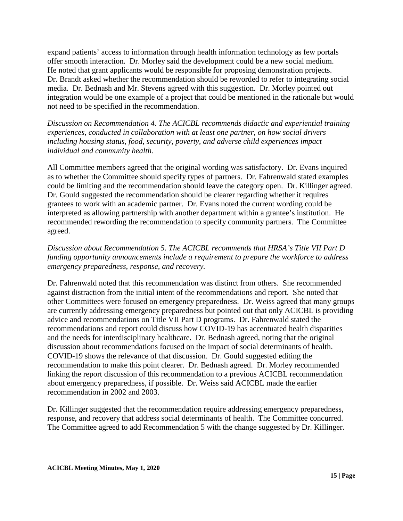expand patients' access to information through health information technology as few portals offer smooth interaction. Dr. Morley said the development could be a new social medium. He noted that grant applicants would be responsible for proposing demonstration projects. Dr. Brandt asked whether the recommendation should be reworded to refer to integrating social media. Dr. Bednash and Mr. Stevens agreed with this suggestion. Dr. Morley pointed out integration would be one example of a project that could be mentioned in the rationale but would not need to be specified in the recommendation.

*Discussion on Recommendation 4. The ACICBL recommends didactic and experiential training experiences, conducted in collaboration with at least one partner, on how social drivers including housing status, food, security, poverty, and adverse child experiences impact individual and community health.* 

All Committee members agreed that the original wording was satisfactory. Dr. Evans inquired as to whether the Committee should specify types of partners. Dr. Fahrenwald stated examples could be limiting and the recommendation should leave the category open. Dr. Killinger agreed. Dr. Gould suggested the recommendation should be clearer regarding whether it requires grantees to work with an academic partner. Dr. Evans noted the current wording could be interpreted as allowing partnership with another department within a grantee's institution. He recommended rewording the recommendation to specify community partners. The Committee agreed.

## *Discussion about Recommendation 5. The ACICBL recommends that HRSA's Title VII Part D funding opportunity announcements include a requirement to prepare the workforce to address emergency preparedness, response, and recovery.*

Dr. Fahrenwald noted that this recommendation was distinct from others. She recommended against distraction from the initial intent of the recommendations and report. She noted that other Committees were focused on emergency preparedness. Dr. Weiss agreed that many groups are currently addressing emergency preparedness but pointed out that only ACICBL is providing advice and recommendations on Title VII Part D programs. Dr. Fahrenwald stated the recommendations and report could discuss how COVID-19 has accentuated health disparities and the needs for interdisciplinary healthcare. Dr. Bednash agreed, noting that the original discussion about recommendations focused on the impact of social determinants of health. COVID-19 shows the relevance of that discussion. Dr. Gould suggested editing the recommendation to make this point clearer. Dr. Bednash agreed. Dr. Morley recommended linking the report discussion of this recommendation to a previous ACICBL recommendation about emergency preparedness, if possible. Dr. Weiss said ACICBL made the earlier recommendation in 2002 and 2003.

Dr. Killinger suggested that the recommendation require addressing emergency preparedness, response, and recovery that address social determinants of health. The Committee concurred. The Committee agreed to add Recommendation 5 with the change suggested by Dr. Killinger.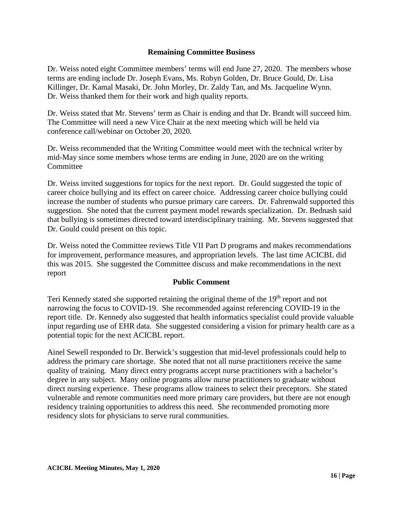## **Remaining Committee Business**

Dr. Weiss noted eight Committee members' terms will end June 27, 2020. The members whose terms are ending include Dr. Joseph Evans, Ms. Robyn Golden, Dr. Bruce Gould, Dr. Lisa Killinger, Dr. Kamal Masaki, Dr. John Morley, Dr. Zaldy Tan, and Ms. Jacqueline Wynn. Dr. Weiss thanked them for their work and high quality reports.

Dr. Weiss stated that Mr. Stevens' term as Chair is ending and that Dr. Brandt will succeed him. The Committee will need a new Vice Chair at the next meeting which will be held via conference call/webinar on October 20, 2020.

Dr. Weiss recommended that the Writing Committee would meet with the technical writer by mid-May since some members whose terms are ending in June, 2020 are on the writing **Committee** 

Dr. Weiss invited suggestions for topics for the next report. Dr. Gould suggested the topic of career choice bullying and its effect on career choice. Addressing career choice bullying could increase the number of students who pursue primary care careers. Dr. Fahrenwald supported this suggestion. She noted that the current payment model rewards specialization. Dr. Bednash said that bullying is sometimes directed toward interdisciplinary training. Mr. Stevens suggested that Dr. Gould could present on this topic.

Dr. Weiss noted the Committee reviews Title VII Part D programs and makes recommendations for improvement, performance measures, and appropriation levels. The last time ACICBL did this was 2015. She suggested the Committee discuss and make recommendations in the next report

## **Public Comment**

Teri Kennedy stated she supported retaining the original theme of the 19<sup>th</sup> report and not narrowing the focus to COVID-19. She recommended against referencing COVID-19 in the report title. Dr. Kennedy also suggested that health informatics specialist could provide valuable input regarding use of EHR data. She suggested considering a vision for primary health care as a potential topic for the next ACICBL report.

Ainel Sewell responded to Dr. Berwick's suggestion that mid-level professionals could help to address the primary care shortage. She noted that not all nurse practitioners receive the same quality of training. Many direct entry programs accept nurse practitioners with a bachelor's degree in any subject. Many online programs allow nurse practitioners to graduate without direct nursing experience. These programs allow trainees to select their preceptors. She stated vulnerable and remote communities need more primary care providers, but there are not enough residency training opportunities to address this need. She recommended promoting more residency slots for physicians to serve rural communities.